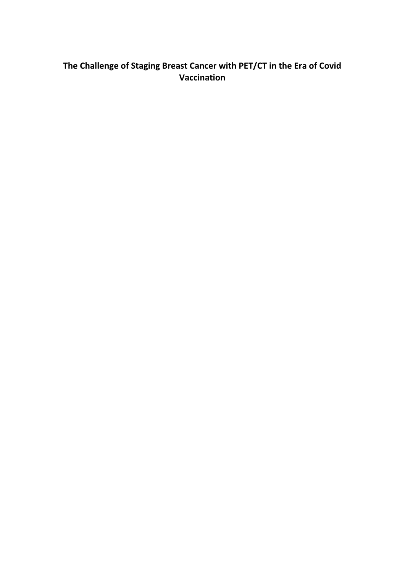## **The Challenge of Staging Breast Cancer with PET/CT in the Era of Covid Vaccination**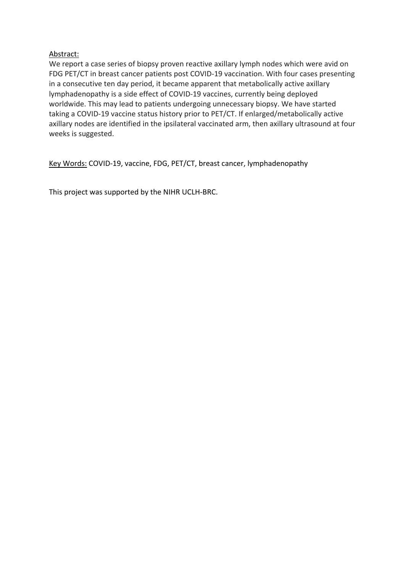## Abstract:

We report a case series of biopsy proven reactive axillary lymph nodes which were avid on FDG PET/CT in breast cancer patients post COVID-19 vaccination. With four cases presenting in a consecutive ten day period, it became apparent that metabolically active axillary lymphadenopathy is a side effect of COVID-19 vaccines, currently being deployed worldwide. This may lead to patients undergoing unnecessary biopsy. We have started taking a COVID-19 vaccine status history prior to PET/CT. If enlarged/metabolically active axillary nodes are identified in the ipsilateral vaccinated arm, then axillary ultrasound at four weeks is suggested.

Key Words: COVID-19, vaccine, FDG, PET/CT, breast cancer, lymphadenopathy

This project was supported by the NIHR UCLH-BRC.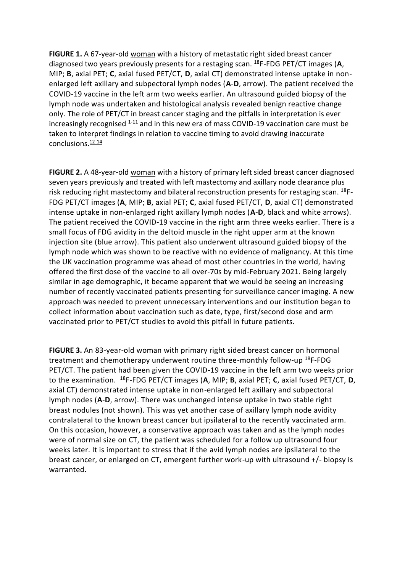**FIGURE 1.** A 67-year-old woman with a history of metastatic right sided breast cancer diagnosed two years previously presents for a restaging scan. <sup>18</sup>F-FDG PET/CT images (**A**, MIP; **B**, axial PET; **C**, axial fused PET/CT, **D**, axial CT) demonstrated intense uptake in nonenlarged left axillary and subpectoral lymph nodes (**A**-**D**, arrow). The patient received the COVID-19 vaccine in the left arm two weeks earlier. An ultrasound guided biopsy of the lymph node was undertaken and histological analysis revealed benign reactive change only. The role of PET/CT in breast cancer staging and the pitfalls in interpretation is ever increasingly recognised  $1-11$  and in this new era of mass COVID-19 vaccination care must be taken to interpret findings in relation to vaccine timing to avoid drawing inaccurate conclusions. $12-14$ 

**FIGURE 2.** A 48-year-old woman with a history of primary left sided breast cancer diagnosed seven years previously and treated with left mastectomy and axillary node clearance plus risk reducing right mastectomy and bilateral reconstruction presents for restaging scan.  $^{18}F-$ FDG PET/CT images (**A**, MIP; **B**, axial PET; **C**, axial fused PET/CT, **D**, axial CT) demonstrated intense uptake in non-enlarged right axillary lymph nodes (**A**-**D**, black and white arrows). The patient received the COVID-19 vaccine in the right arm three weeks earlier. There is a small focus of FDG avidity in the deltoid muscle in the right upper arm at the known injection site (blue arrow). This patient also underwent ultrasound guided biopsy of the lymph node which was shown to be reactive with no evidence of malignancy. At this time the UK vaccination programme was ahead of most other countries in the world, having offered the first dose of the vaccine to all over-70s by mid-February 2021. Being largely similar in age demographic, it became apparent that we would be seeing an increasing number of recently vaccinated patients presenting for surveillance cancer imaging. A new approach was needed to prevent unnecessary interventions and our institution began to collect information about vaccination such as date, type, first/second dose and arm vaccinated prior to PET/CT studies to avoid this pitfall in future patients.

**FIGURE 3.** An 83-year-old woman with primary right sided breast cancer on hormonal treatment and chemotherapy underwent routine three-monthly follow-up <sup>18</sup>F-FDG PET/CT. The patient had been given the COVID-19 vaccine in the left arm two weeks prior to the examination. <sup>18</sup>F-FDG PET/CT images (**A**, MIP; **B**, axial PET; **C**, axial fused PET/CT, **D**, axial CT) demonstrated intense uptake in non-enlarged left axillary and subpectoral lymph nodes (**A**-**D**, arrow). There was unchanged intense uptake in two stable right breast nodules (not shown). This was yet another case of axillary lymph node avidity contralateral to the known breast cancer but ipsilateral to the recently vaccinated arm. On this occasion, however, a conservative approach was taken and as the lymph nodes were of normal size on CT, the patient was scheduled for a follow up ultrasound four weeks later. It is important to stress that if the avid lymph nodes are ipsilateral to the breast cancer, or enlarged on CT, emergent further work-up with ultrasound +/- biopsy is warranted.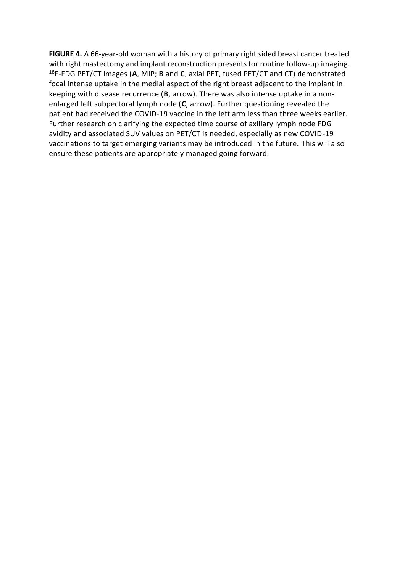**FIGURE 4.** A 66-year-old woman with a history of primary right sided breast cancer treated with right mastectomy and implant reconstruction presents for routine follow-up imaging. <sup>18</sup>F-FDG PET/CT images (**A**, MIP; **B** and **C**, axial PET, fused PET/CT and CT) demonstrated focal intense uptake in the medial aspect of the right breast adjacent to the implant in keeping with disease recurrence (**B**, arrow). There was also intense uptake in a nonenlarged left subpectoral lymph node (**C**, arrow). Further questioning revealed the patient had received the COVID-19 vaccine in the left arm less than three weeks earlier. Further research on clarifying the expected time course of axillary lymph node FDG avidity and associated SUV values on PET/CT is needed, especially as new COVID-19 vaccinations to target emerging variants may be introduced in the future. This will also ensure these patients are appropriately managed going forward.